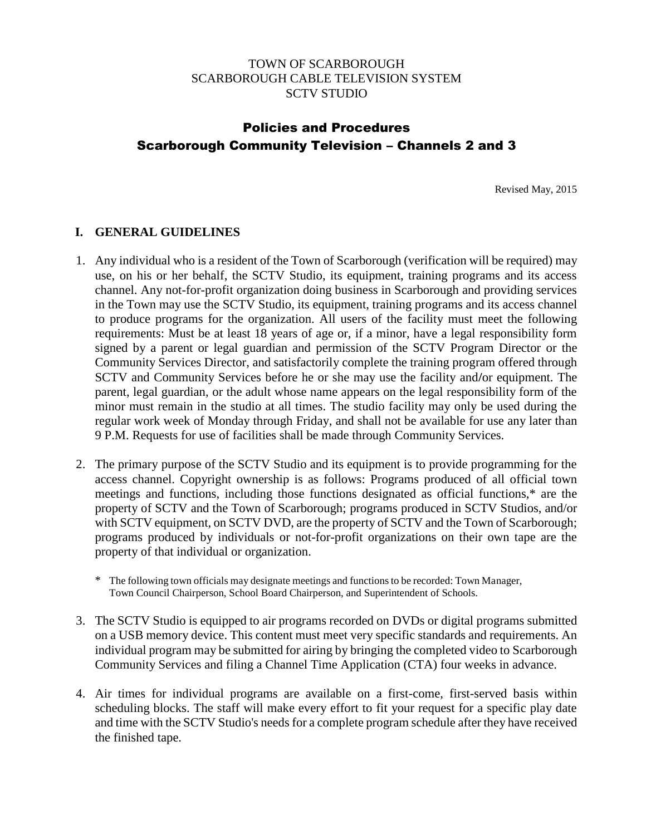## TOWN OF SCARBOROUGH SCARBOROUGH CABLE TELEVISION SYSTEM SCTV STUDIO

# Policies and Procedures Scarborough Community Television – Channels 2 and 3

Revised May, 2015

### **I. GENERAL GUIDELINES**

- 1. Any individual who is a resident of the Town of Scarborough (verification will be required) may use, on his or her behalf, the SCTV Studio, its equipment, training programs and its access channel. Any not-for-profit organization doing business in Scarborough and providing services in the Town may use the SCTV Studio, its equipment, training programs and its access channel to produce programs for the organization. All users of the facility must meet the following requirements: Must be at least 18 years of age or, if a minor, have a legal responsibility form signed by a parent or legal guardian and permission of the SCTV Program Director or the Community Services Director, and satisfactorily complete the training program offered through SCTV and Community Services before he or she may use the facility and**/**or equipment. The parent, legal guardian, or the adult whose name appears on the legal responsibility form of the minor must remain in the studio at all times. The studio facility may only be used during the regular work week of Monday through Friday, and shall not be available for use any later than 9 P.M. Requests for use of facilities shall be made through Community Services.
- 2. The primary purpose of the SCTV Studio and its equipment is to provide programming for the access channel. Copyright ownership is as follows: Programs produced of all official town meetings and functions, including those functions designated as official functions,\* are the property of SCTV and the Town of Scarborough; programs produced in SCTV Studios, and/or with SCTV equipment, on SCTV DVD, are the property of SCTV and the Town of Scarborough; programs produced by individuals or not-for-profit organizations on their own tape are the property of that individual or organization.
	- \* The following town officials may designate meetings and functions to be recorded: Town Manager, Town Council Chairperson, School Board Chairperson, and Superintendent of Schools.
- 3. The SCTV Studio is equipped to air programs recorded on DVDs or digital programs submitted on a USB memory device. This content must meet very specific standards and requirements. An individual program may be submitted for airing by bringing the completed video to Scarborough Community Services and filing a Channel Time Application (CTA) four weeks in advance.
- 4. Air times for individual programs are available on a first-come, first-served basis within scheduling blocks. The staff will make every effort to fit your request for a specific play date and time with the SCTV Studio's needs for a complete program schedule after they have received the finished tape.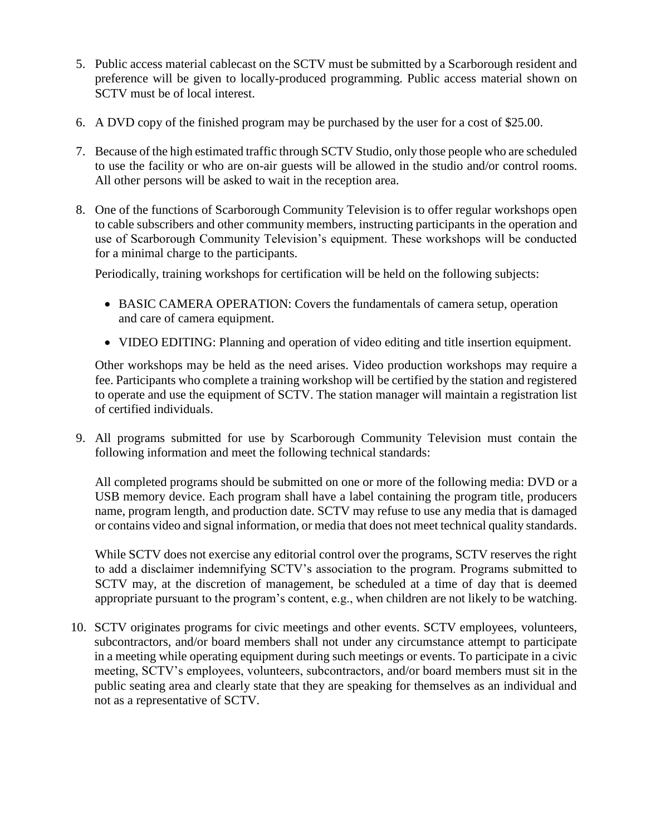- 5. Public access material cablecast on the SCTV must be submitted by a Scarborough resident and preference will be given to locally-produced programming. Public access material shown on SCTV must be of local interest.
- 6. A DVD copy of the finished program may be purchased by the user for a cost of \$25.00.
- 7. Because of the high estimated traffic through SCTV Studio, only those people who are scheduled to use the facility or who are on-air guests will be allowed in the studio and/or control rooms. All other persons will be asked to wait in the reception area.
- 8. One of the functions of Scarborough Community Television is to offer regular workshops open to cable subscribers and other community members, instructing participants in the operation and use of Scarborough Community Television's equipment. These workshops will be conducted for a minimal charge to the participants.

Periodically, training workshops for certification will be held on the following subjects:

- BASIC CAMERA OPERATION: Covers the fundamentals of camera setup, operation and care of camera equipment.
- VIDEO EDITING: Planning and operation of video editing and title insertion equipment.

Other workshops may be held as the need arises. Video production workshops may require a fee. Participants who complete a training workshop will be certified by the station and registered to operate and use the equipment of SCTV. The station manager will maintain a registration list of certified individuals.

9. All programs submitted for use by Scarborough Community Television must contain the following information and meet the following technical standards:

All completed programs should be submitted on one or more of the following media: DVD or a USB memory device. Each program shall have a label containing the program title, producers name, program length, and production date. SCTV may refuse to use any media that is damaged or contains video and signal information, or media that does not meet technical quality standards.

While SCTV does not exercise any editorial control over the programs, SCTV reserves the right to add a disclaimer indemnifying SCTV's association to the program. Programs submitted to SCTV may, at the discretion of management, be scheduled at a time of day that is deemed appropriate pursuant to the program's content, e.g., when children are not likely to be watching.

10. SCTV originates programs for civic meetings and other events. SCTV employees, volunteers, subcontractors, and/or board members shall not under any circumstance attempt to participate in a meeting while operating equipment during such meetings or events. To participate in a civic meeting, SCTV's employees, volunteers, subcontractors, and/or board members must sit in the public seating area and clearly state that they are speaking for themselves as an individual and not as a representative of SCTV.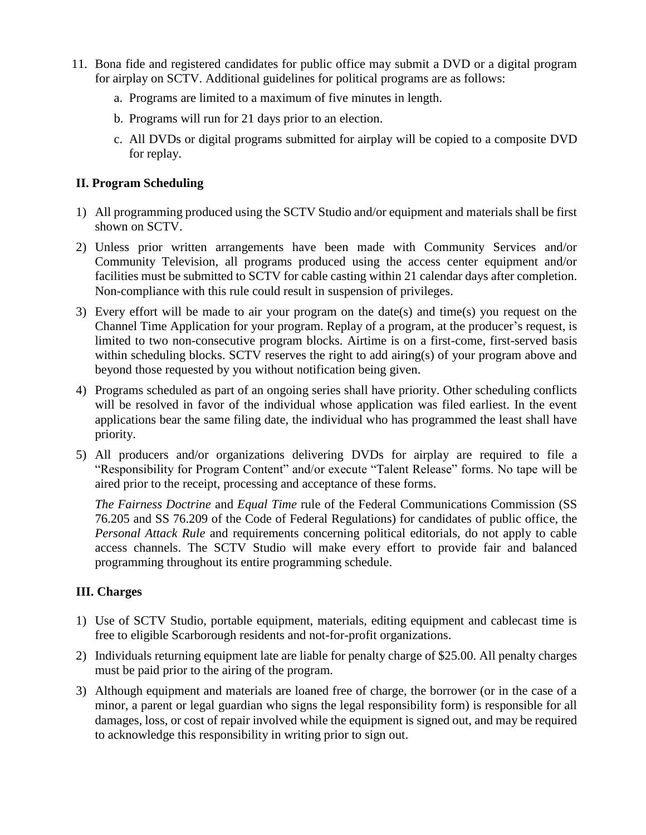- 11. Bona fide and registered candidates for public office may submit a DVD or a digital program for airplay on SCTV. Additional guidelines for political programs are as follows:
	- a. Programs are limited to a maximum of five minutes in length.
	- b. Programs will run for 21 days prior to an election.
	- c. All DVDs or digital programs submitted for airplay will be copied to a composite DVD for replay.

# **II. Program Scheduling**

- 1) All programming produced using the SCTV Studio and/or equipment and materials shall be first shown on SCTV.
- 2) Unless prior written arrangements have been made with Community Services and/or Community Television, all programs produced using the access center equipment and/or facilities must be submitted to SCTV for cable casting within 21 calendar days after completion. Non-compliance with this rule could result in suspension of privileges.
- 3) Every effort will be made to air your program on the date(s) and time(s) you request on the Channel Time Application for your program. Replay of a program, at the producer's request, is limited to two non-consecutive program blocks. Airtime is on a first-come, first-served basis within scheduling blocks. SCTV reserves the right to add airing(s) of your program above and beyond those requested by you without notification being given.
- 4) Programs scheduled as part of an ongoing series shall have priority. Other scheduling conflicts will be resolved in favor of the individual whose application was filed earliest. In the event applications bear the same filing date, the individual who has programmed the least shall have priority.
- 5) All producers and/or organizations delivering DVDs for airplay are required to file a "Responsibility for Program Content" and/or execute "Talent Release" forms. No tape will be aired prior to the receipt, processing and acceptance of these forms.

*The Fairness Doctrine* and *Equal Time* rule of the Federal Communications Commission (SS 76.205 and SS 76.209 of the Code of Federal Regulations) for candidates of public office, the *Personal Attack Rule* and requirements concerning political editorials, do not apply to cable access channels. The SCTV Studio will make every effort to provide fair and balanced programming throughout its entire programming schedule.

## **III. Charges**

- 1) Use of SCTV Studio, portable equipment, materials, editing equipment and cablecast time is free to eligible Scarborough residents and not-for-profit organizations.
- 2) Individuals returning equipment late are liable for penalty charge of \$25.00. All penalty charges must be paid prior to the airing of the program.
- 3) Although equipment and materials are loaned free of charge, the borrower (or in the case of a minor, a parent or legal guardian who signs the legal responsibility form) is responsible for all damages, loss, or cost of repair involved while the equipment is signed out, and may be required to acknowledge this responsibility in writing prior to sign out.